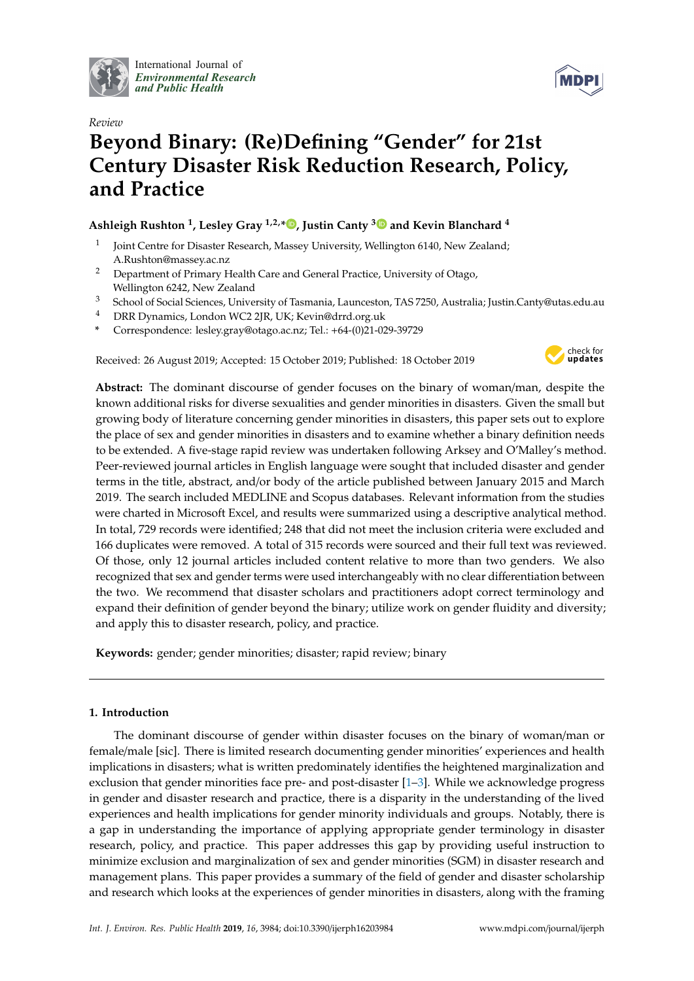

International Journal of *[Environmental Research](http://www.mdpi.com/journal/ijerph) and Public Health*



# *Review* **Beyond Binary: (Re)Defining "Gender" for 21st Century Disaster Risk Reduction Research, Policy, and Practice**

# **Ashleigh Rushton <sup>1</sup> , Lesley Gray 1,2,[\\*](https://orcid.org/0000-0001-6414-3236) , Justin Canty [3](https://orcid.org/0000-0001-8992-2463) and Kevin Blanchard <sup>4</sup>**

- 1 Joint Centre for Disaster Research, Massey University, Wellington 6140, New Zealand; A.Rushton@massey.ac.nz
- <sup>2</sup> Department of Primary Health Care and General Practice, University of Otago, Wellington 6242, New Zealand
- <sup>3</sup> School of Social Sciences, University of Tasmania, Launceston, TAS 7250, Australia; Justin.Canty@utas.edu.au
- <sup>4</sup> DRR Dynamics, London WC2 2JR, UK; Kevin@drrd.org.uk
- **\*** Correspondence: lesley.gray@otago.ac.nz; Tel.: +64-(0)21-029-39729

Received: 26 August 2019; Accepted: 15 October 2019; Published: 18 October 2019



**Abstract:** The dominant discourse of gender focuses on the binary of woman/man, despite the known additional risks for diverse sexualities and gender minorities in disasters. Given the small but growing body of literature concerning gender minorities in disasters, this paper sets out to explore the place of sex and gender minorities in disasters and to examine whether a binary definition needs to be extended. A five-stage rapid review was undertaken following Arksey and O'Malley's method. Peer-reviewed journal articles in English language were sought that included disaster and gender terms in the title, abstract, and/or body of the article published between January 2015 and March 2019. The search included MEDLINE and Scopus databases. Relevant information from the studies were charted in Microsoft Excel, and results were summarized using a descriptive analytical method. In total, 729 records were identified; 248 that did not meet the inclusion criteria were excluded and 166 duplicates were removed. A total of 315 records were sourced and their full text was reviewed. Of those, only 12 journal articles included content relative to more than two genders. We also recognized that sex and gender terms were used interchangeably with no clear differentiation between the two. We recommend that disaster scholars and practitioners adopt correct terminology and expand their definition of gender beyond the binary; utilize work on gender fluidity and diversity; and apply this to disaster research, policy, and practice.

**Keywords:** gender; gender minorities; disaster; rapid review; binary

# **1. Introduction**

The dominant discourse of gender within disaster focuses on the binary of woman/man or female/male [sic]. There is limited research documenting gender minorities' experiences and health implications in disasters; what is written predominately identifies the heightened marginalization and exclusion that gender minorities face pre- and post-disaster [\[1](#page-10-0)[–3\]](#page-10-1). While we acknowledge progress in gender and disaster research and practice, there is a disparity in the understanding of the lived experiences and health implications for gender minority individuals and groups. Notably, there is a gap in understanding the importance of applying appropriate gender terminology in disaster research, policy, and practice. This paper addresses this gap by providing useful instruction to minimize exclusion and marginalization of sex and gender minorities (SGM) in disaster research and management plans. This paper provides a summary of the field of gender and disaster scholarship and research which looks at the experiences of gender minorities in disasters, along with the framing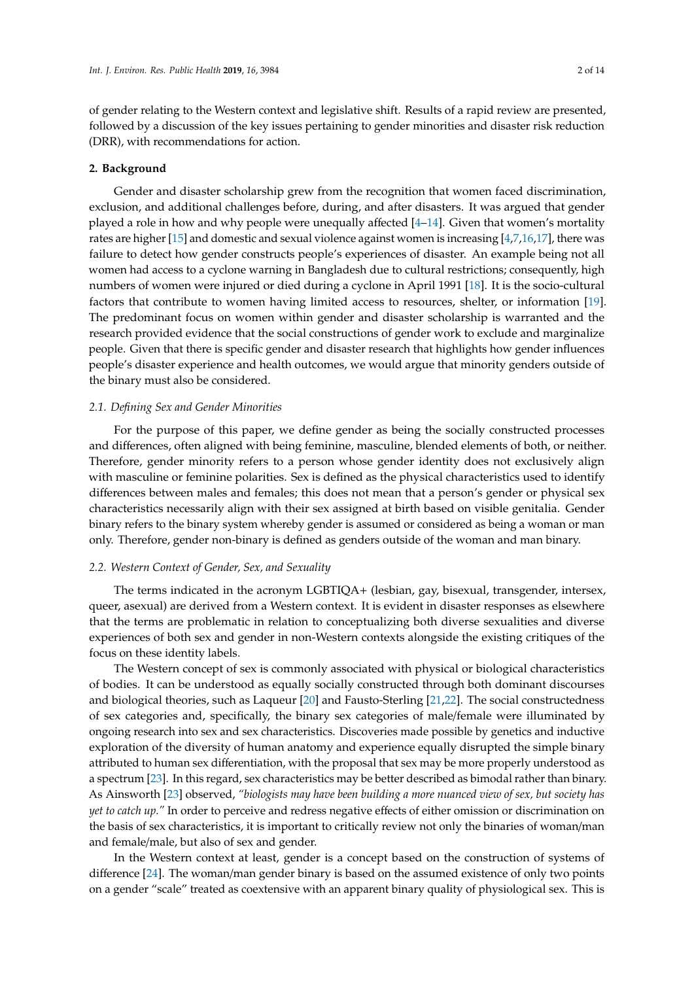of gender relating to the Western context and legislative shift. Results of a rapid review are presented, followed by a discussion of the key issues pertaining to gender minorities and disaster risk reduction (DRR), with recommendations for action.

#### **2. Background**

Gender and disaster scholarship grew from the recognition that women faced discrimination, exclusion, and additional challenges before, during, and after disasters. It was argued that gender played a role in how and why people were unequally affected  $[4-14]$  $[4-14]$ . Given that women's mortality rates are higher [\[15\]](#page-11-1) and domestic and sexual violence against women is increasing [\[4](#page-10-2)[,7](#page-10-3)[,16,](#page-11-2)[17\]](#page-11-3), there was failure to detect how gender constructs people's experiences of disaster. An example being not all women had access to a cyclone warning in Bangladesh due to cultural restrictions; consequently, high numbers of women were injured or died during a cyclone in April 1991 [\[18\]](#page-11-4). It is the socio-cultural factors that contribute to women having limited access to resources, shelter, or information [\[19\]](#page-11-5). The predominant focus on women within gender and disaster scholarship is warranted and the research provided evidence that the social constructions of gender work to exclude and marginalize people. Given that there is specific gender and disaster research that highlights how gender influences people's disaster experience and health outcomes, we would argue that minority genders outside of the binary must also be considered.

#### *2.1. Defining Sex and Gender Minorities*

For the purpose of this paper, we define gender as being the socially constructed processes and differences, often aligned with being feminine, masculine, blended elements of both, or neither. Therefore, gender minority refers to a person whose gender identity does not exclusively align with masculine or feminine polarities. Sex is defined as the physical characteristics used to identify differences between males and females; this does not mean that a person's gender or physical sex characteristics necessarily align with their sex assigned at birth based on visible genitalia. Gender binary refers to the binary system whereby gender is assumed or considered as being a woman or man only. Therefore, gender non-binary is defined as genders outside of the woman and man binary.

### *2.2. Western Context of Gender, Sex, and Sexuality*

The terms indicated in the acronym LGBTIQA+ (lesbian, gay, bisexual, transgender, intersex, queer, asexual) are derived from a Western context. It is evident in disaster responses as elsewhere that the terms are problematic in relation to conceptualizing both diverse sexualities and diverse experiences of both sex and gender in non-Western contexts alongside the existing critiques of the focus on these identity labels.

The Western concept of sex is commonly associated with physical or biological characteristics of bodies. It can be understood as equally socially constructed through both dominant discourses and biological theories, such as Laqueur [\[20\]](#page-11-6) and Fausto-Sterling [\[21,](#page-11-7)[22\]](#page-11-8). The social constructedness of sex categories and, specifically, the binary sex categories of male/female were illuminated by ongoing research into sex and sex characteristics. Discoveries made possible by genetics and inductive exploration of the diversity of human anatomy and experience equally disrupted the simple binary attributed to human sex differentiation, with the proposal that sex may be more properly understood as a spectrum [\[23\]](#page-11-9). In this regard, sex characteristics may be better described as bimodal rather than binary. As Ainsworth [\[23\]](#page-11-9) observed, *"biologists may have been building a more nuanced view of sex, but society has yet to catch up."* In order to perceive and redress negative effects of either omission or discrimination on the basis of sex characteristics, it is important to critically review not only the binaries of woman/man and female/male, but also of sex and gender.

In the Western context at least, gender is a concept based on the construction of systems of difference [\[24\]](#page-11-10). The woman/man gender binary is based on the assumed existence of only two points on a gender "scale" treated as coextensive with an apparent binary quality of physiological sex. This is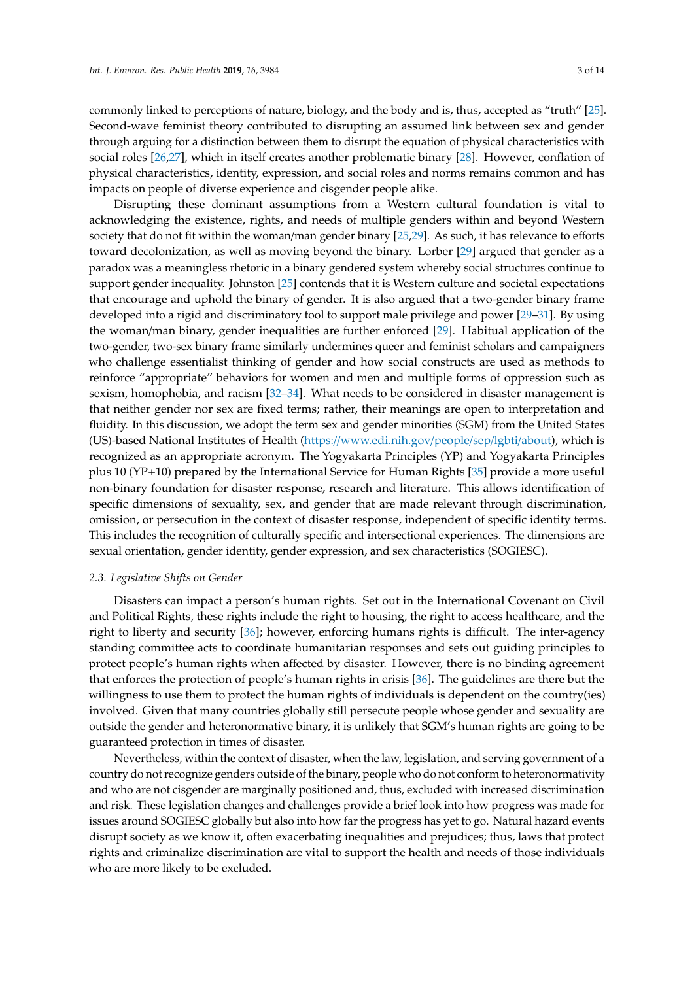commonly linked to perceptions of nature, biology, and the body and is, thus, accepted as "truth" [\[25\]](#page-11-11). Second-wave feminist theory contributed to disrupting an assumed link between sex and gender through arguing for a distinction between them to disrupt the equation of physical characteristics with social roles [\[26,](#page-11-12)[27\]](#page-11-13), which in itself creates another problematic binary [\[28\]](#page-11-14). However, conflation of physical characteristics, identity, expression, and social roles and norms remains common and has impacts on people of diverse experience and cisgender people alike.

Disrupting these dominant assumptions from a Western cultural foundation is vital to acknowledging the existence, rights, and needs of multiple genders within and beyond Western society that do not fit within the woman/man gender binary [\[25](#page-11-11)[,29\]](#page-11-15). As such, it has relevance to efforts toward decolonization, as well as moving beyond the binary. Lorber [\[29\]](#page-11-15) argued that gender as a paradox was a meaningless rhetoric in a binary gendered system whereby social structures continue to support gender inequality. Johnston [\[25\]](#page-11-11) contends that it is Western culture and societal expectations that encourage and uphold the binary of gender. It is also argued that a two-gender binary frame developed into a rigid and discriminatory tool to support male privilege and power [\[29–](#page-11-15)[31\]](#page-11-16). By using the woman/man binary, gender inequalities are further enforced [\[29\]](#page-11-15). Habitual application of the two-gender, two-sex binary frame similarly undermines queer and feminist scholars and campaigners who challenge essentialist thinking of gender and how social constructs are used as methods to reinforce "appropriate" behaviors for women and men and multiple forms of oppression such as sexism, homophobia, and racism [\[32–](#page-11-17)[34\]](#page-11-18). What needs to be considered in disaster management is that neither gender nor sex are fixed terms; rather, their meanings are open to interpretation and fluidity. In this discussion, we adopt the term sex and gender minorities (SGM) from the United States (US)-based National Institutes of Health (https://[www.edi.nih.gov](https://www.edi.nih.gov/people/sep/lgbti/about)/people/sep/lgbti/about), which is recognized as an appropriate acronym. The Yogyakarta Principles (YP) and Yogyakarta Principles plus 10 (YP+10) prepared by the International Service for Human Rights [\[35\]](#page-11-19) provide a more useful non-binary foundation for disaster response, research and literature. This allows identification of specific dimensions of sexuality, sex, and gender that are made relevant through discrimination, omission, or persecution in the context of disaster response, independent of specific identity terms. This includes the recognition of culturally specific and intersectional experiences. The dimensions are sexual orientation, gender identity, gender expression, and sex characteristics (SOGIESC).

### *2.3. Legislative Shifts on Gender*

Disasters can impact a person's human rights. Set out in the International Covenant on Civil and Political Rights, these rights include the right to housing, the right to access healthcare, and the right to liberty and security [\[36\]](#page-11-20); however, enforcing humans rights is difficult. The inter-agency standing committee acts to coordinate humanitarian responses and sets out guiding principles to protect people's human rights when affected by disaster. However, there is no binding agreement that enforces the protection of people's human rights in crisis [\[36\]](#page-11-20). The guidelines are there but the willingness to use them to protect the human rights of individuals is dependent on the country(ies) involved. Given that many countries globally still persecute people whose gender and sexuality are outside the gender and heteronormative binary, it is unlikely that SGM's human rights are going to be guaranteed protection in times of disaster.

Nevertheless, within the context of disaster, when the law, legislation, and serving government of a country do not recognize genders outside of the binary, people who do not conform to heteronormativity and who are not cisgender are marginally positioned and, thus, excluded with increased discrimination and risk. These legislation changes and challenges provide a brief look into how progress was made for issues around SOGIESC globally but also into how far the progress has yet to go. Natural hazard events disrupt society as we know it, often exacerbating inequalities and prejudices; thus, laws that protect rights and criminalize discrimination are vital to support the health and needs of those individuals who are more likely to be excluded.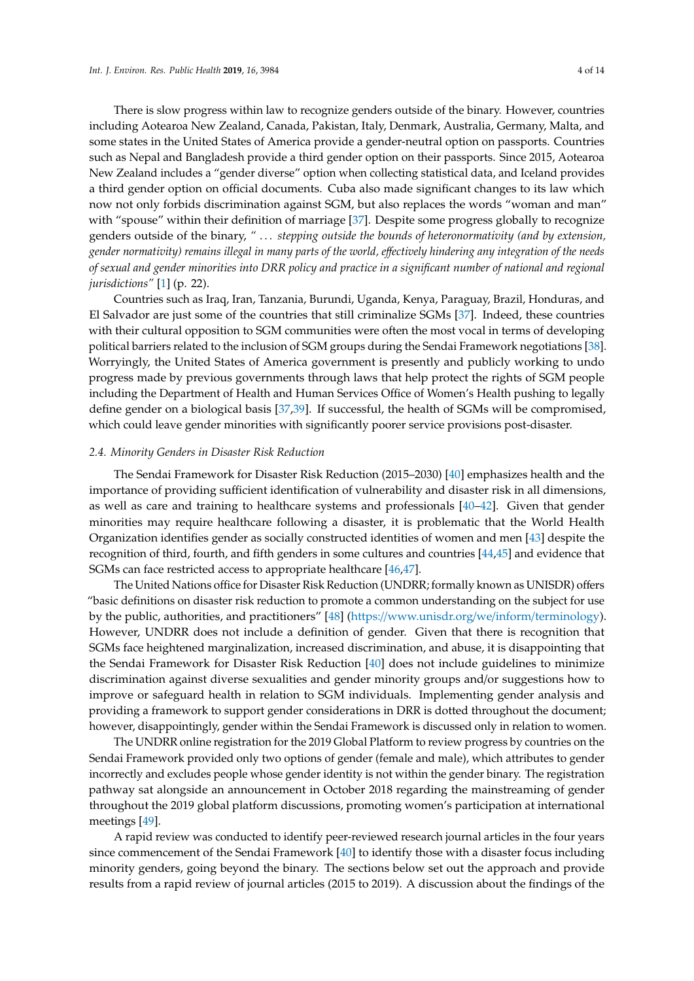There is slow progress within law to recognize genders outside of the binary. However, countries including Aotearoa New Zealand, Canada, Pakistan, Italy, Denmark, Australia, Germany, Malta, and some states in the United States of America provide a gender-neutral option on passports. Countries such as Nepal and Bangladesh provide a third gender option on their passports. Since 2015, Aotearoa New Zealand includes a "gender diverse" option when collecting statistical data, and Iceland provides a third gender option on official documents. Cuba also made significant changes to its law which now not only forbids discrimination against SGM, but also replaces the words "woman and man" with "spouse" within their definition of marriage [\[37\]](#page-11-21). Despite some progress globally to recognize genders outside of the binary, *"* . . . *stepping outside the bounds of heteronormativity (and by extension, gender normativity) remains illegal in many parts of the world, e*ff*ectively hindering any integration of the needs of sexual and gender minorities into DRR policy and practice in a significant number of national and regional jurisdictions"* [\[1\]](#page-10-0) (p. 22).

Countries such as Iraq, Iran, Tanzania, Burundi, Uganda, Kenya, Paraguay, Brazil, Honduras, and El Salvador are just some of the countries that still criminalize SGMs [\[37\]](#page-11-21). Indeed, these countries with their cultural opposition to SGM communities were often the most vocal in terms of developing political barriers related to the inclusion of SGM groups during the Sendai Framework negotiations [\[38\]](#page-11-22). Worryingly, the United States of America government is presently and publicly working to undo progress made by previous governments through laws that help protect the rights of SGM people including the Department of Health and Human Services Office of Women's Health pushing to legally define gender on a biological basis [\[37,](#page-11-21)[39\]](#page-11-23). If successful, the health of SGMs will be compromised, which could leave gender minorities with significantly poorer service provisions post-disaster.

### *2.4. Minority Genders in Disaster Risk Reduction*

The Sendai Framework for Disaster Risk Reduction (2015–2030) [\[40\]](#page-11-24) emphasizes health and the importance of providing sufficient identification of vulnerability and disaster risk in all dimensions, as well as care and training to healthcare systems and professionals [\[40](#page-11-24)[–42\]](#page-12-0). Given that gender minorities may require healthcare following a disaster, it is problematic that the World Health Organization identifies gender as socially constructed identities of women and men [\[43\]](#page-12-1) despite the recognition of third, fourth, and fifth genders in some cultures and countries [\[44](#page-12-2)[,45\]](#page-12-3) and evidence that SGMs can face restricted access to appropriate healthcare [\[46](#page-12-4)[,47\]](#page-12-5).

The United Nations office for Disaster Risk Reduction (UNDRR; formally known as UNISDR) offers "basic definitions on disaster risk reduction to promote a common understanding on the subject for use by the public, authorities, and practitioners" [\[48\]](#page-12-6) (https://[www.unisdr.org](https://www.unisdr.org/we/inform/terminology)/we/inform/terminology). However, UNDRR does not include a definition of gender. Given that there is recognition that SGMs face heightened marginalization, increased discrimination, and abuse, it is disappointing that the Sendai Framework for Disaster Risk Reduction [\[40\]](#page-11-24) does not include guidelines to minimize discrimination against diverse sexualities and gender minority groups and/or suggestions how to improve or safeguard health in relation to SGM individuals. Implementing gender analysis and providing a framework to support gender considerations in DRR is dotted throughout the document; however, disappointingly, gender within the Sendai Framework is discussed only in relation to women.

The UNDRR online registration for the 2019 Global Platform to review progress by countries on the Sendai Framework provided only two options of gender (female and male), which attributes to gender incorrectly and excludes people whose gender identity is not within the gender binary. The registration pathway sat alongside an announcement in October 2018 regarding the mainstreaming of gender throughout the 2019 global platform discussions, promoting women's participation at international meetings [\[49\]](#page-12-7).

A rapid review was conducted to identify peer-reviewed research journal articles in the four years since commencement of the Sendai Framework [\[40\]](#page-11-24) to identify those with a disaster focus including minority genders, going beyond the binary. The sections below set out the approach and provide results from a rapid review of journal articles (2015 to 2019). A discussion about the findings of the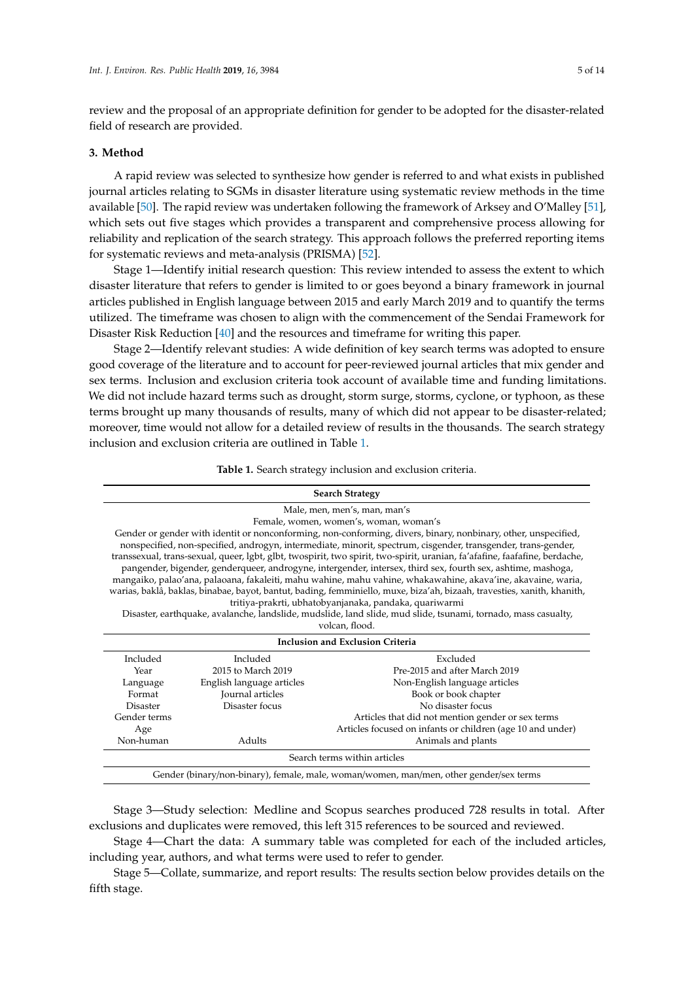review and the proposal of an appropriate definition for gender to be adopted for the disaster-related field of research are provided.

#### **3. Method**

A rapid review was selected to synthesize how gender is referred to and what exists in published journal articles relating to SGMs in disaster literature using systematic review methods in the time available [\[50\]](#page-12-8). The rapid review was undertaken following the framework of Arksey and O'Malley [\[51\]](#page-12-9), which sets out five stages which provides a transparent and comprehensive process allowing for reliability and replication of the search strategy. This approach follows the preferred reporting items for systematic reviews and meta-analysis (PRISMA) [\[52\]](#page-12-10).

Stage 1—Identify initial research question: This review intended to assess the extent to which disaster literature that refers to gender is limited to or goes beyond a binary framework in journal articles published in English language between 2015 and early March 2019 and to quantify the terms utilized. The timeframe was chosen to align with the commencement of the Sendai Framework for Disaster Risk Reduction [\[40\]](#page-11-24) and the resources and timeframe for writing this paper.

Stage 2—Identify relevant studies: A wide definition of key search terms was adopted to ensure good coverage of the literature and to account for peer-reviewed journal articles that mix gender and sex terms. Inclusion and exclusion criteria took account of available time and funding limitations. We did not include hazard terms such as drought, storm surge, storms, cyclone, or typhoon, as these terms brought up many thousands of results, many of which did not appear to be disaster-related; moreover, time would not allow for a detailed review of results in the thousands. The search strategy inclusion and exclusion criteria are outlined in Table [1.](#page-4-0)

**Table 1.** Search strategy inclusion and exclusion criteria.

<span id="page-4-0"></span>

| <b>Search Strategy</b>                                                                                                                                                                                                                                                                                                                                                                                                                                                                                                                                                                                                                                                                                                                                                                                                                                                                                                |                           |                                                            |  |  |
|-----------------------------------------------------------------------------------------------------------------------------------------------------------------------------------------------------------------------------------------------------------------------------------------------------------------------------------------------------------------------------------------------------------------------------------------------------------------------------------------------------------------------------------------------------------------------------------------------------------------------------------------------------------------------------------------------------------------------------------------------------------------------------------------------------------------------------------------------------------------------------------------------------------------------|---------------------------|------------------------------------------------------------|--|--|
| Male, men, men's, man, man's                                                                                                                                                                                                                                                                                                                                                                                                                                                                                                                                                                                                                                                                                                                                                                                                                                                                                          |                           |                                                            |  |  |
| Female, women, women's, woman, woman's                                                                                                                                                                                                                                                                                                                                                                                                                                                                                                                                                                                                                                                                                                                                                                                                                                                                                |                           |                                                            |  |  |
| Gender or gender with identit or nonconforming, non-conforming, divers, binary, nonbinary, other, unspecified,<br>nonspecified, non-specified, androgyn, intermediate, minorit, spectrum, cisgender, transgender, trans-gender,<br>transsexual, trans-sexual, queer, lgbt, glbt, twospirit, two spirit, two-spirit, uranian, fa'afafine, faafafine, berdache,<br>pangender, bigender, genderqueer, androgyne, intergender, intersex, third sex, fourth sex, ashtime, mashoga,<br>mangaiko, palao'ana, palaoana, fakaleiti, mahu wahine, mahu vahine, whakawahine, akava'ine, akavaine, waria,<br>warias, baklâ, baklas, binabae, bayot, bantut, bading, femminiello, muxe, biza'ah, bizaah, travesties, xanith, khanith,<br>tritiya-prakrti, ubhatobyanjanaka, pandaka, quariwarmi<br>Disaster, earthquake, avalanche, landslide, mudslide, land slide, mud slide, tsunami, tornado, mass casualty,<br>volcan, flood. |                           |                                                            |  |  |
| <b>Inclusion and Exclusion Criteria</b>                                                                                                                                                                                                                                                                                                                                                                                                                                                                                                                                                                                                                                                                                                                                                                                                                                                                               |                           |                                                            |  |  |
| Included                                                                                                                                                                                                                                                                                                                                                                                                                                                                                                                                                                                                                                                                                                                                                                                                                                                                                                              | Included                  | Excluded                                                   |  |  |
| Year                                                                                                                                                                                                                                                                                                                                                                                                                                                                                                                                                                                                                                                                                                                                                                                                                                                                                                                  | 2015 to March 2019        | Pre-2015 and after March 2019                              |  |  |
| Language                                                                                                                                                                                                                                                                                                                                                                                                                                                                                                                                                                                                                                                                                                                                                                                                                                                                                                              | English language articles | Non-English language articles                              |  |  |
| Format                                                                                                                                                                                                                                                                                                                                                                                                                                                                                                                                                                                                                                                                                                                                                                                                                                                                                                                | <b>Journal</b> articles   | Book or book chapter                                       |  |  |
| <b>Disaster</b>                                                                                                                                                                                                                                                                                                                                                                                                                                                                                                                                                                                                                                                                                                                                                                                                                                                                                                       | Disaster focus            | No disaster focus                                          |  |  |
| Gender terms                                                                                                                                                                                                                                                                                                                                                                                                                                                                                                                                                                                                                                                                                                                                                                                                                                                                                                          |                           | Articles that did not mention gender or sex terms          |  |  |
| Age                                                                                                                                                                                                                                                                                                                                                                                                                                                                                                                                                                                                                                                                                                                                                                                                                                                                                                                   |                           | Articles focused on infants or children (age 10 and under) |  |  |
| Non-human                                                                                                                                                                                                                                                                                                                                                                                                                                                                                                                                                                                                                                                                                                                                                                                                                                                                                                             | Adults                    | Animals and plants                                         |  |  |
| Search terms within articles                                                                                                                                                                                                                                                                                                                                                                                                                                                                                                                                                                                                                                                                                                                                                                                                                                                                                          |                           |                                                            |  |  |
| Gender (binary/non-binary), female, male, woman/women, man/men, other gender/sex terms                                                                                                                                                                                                                                                                                                                                                                                                                                                                                                                                                                                                                                                                                                                                                                                                                                |                           |                                                            |  |  |

Stage 3—Study selection: Medline and Scopus searches produced 728 results in total. After exclusions and duplicates were removed, this left 315 references to be sourced and reviewed.

Stage 4—Chart the data: A summary table was completed for each of the included articles, including year, authors, and what terms were used to refer to gender.

Stage 5—Collate, summarize, and report results: The results section below provides details on the fifth stage.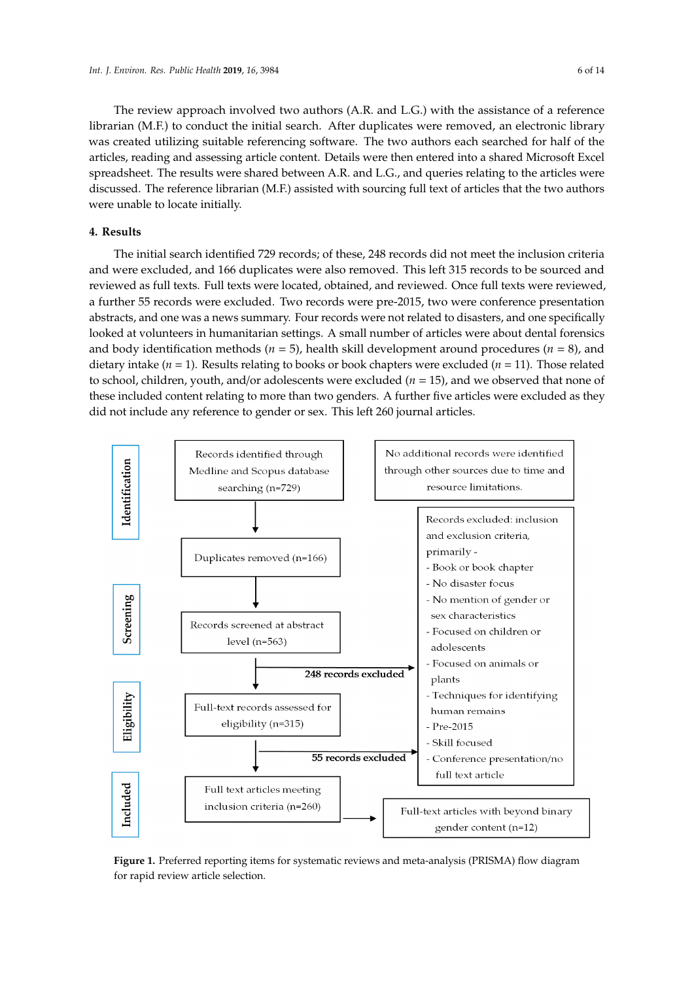for rapid review article selection.

The review approach involved two authors (A.R. and L.G.) with the assistance of a reference librarian (M.F.) to conduct the initial search. After duplicates were removed, an electronic library

was created utilizing suitable referencing software. The two authors each searched for half of the articles, reading and assessing article content. Details were then entered into a shared Microsoft Excel spreadsheet. The results were shared between A.R. and L.G., and queries relating to the articles were discussed. The reference librarian (M.F.) assisted with sourcing full text of articles that the two authors were unable to locate initially.

# **4. Results**

The initial search identified 729 records; of these, 248 records did not meet the inclusion criteria and were excluded, and 166 duplicates were also removed. This left 315 records to be sourced and reviewed as full texts. Full texts were located, obtained, and reviewed. Once full texts were reviewed, a further 55 records were excluded. Two records were pre-2015, two were conference presentation abstracts, and one was a news summary. Four records were not related to disasters, and one specifically looked at volunteers in humanitarian settings. A small number of articles were about dental forensics and body identification methods ( $n = 5$ ), health skill development around procedures ( $n = 8$ ), and dietary intake (*n* = 1). Results relating to books or book chapters were excluded (*n* = 11). Those related to school, children, youth, and/or adolescents were excluded (*n* = 15), and we observed that none of these included content relating to more than two genders. A further five articles were excluded as they did not include any reference to gender or sex. This left 260 journal articles.

<span id="page-5-0"></span>

**Figure 1. Preferred reporting its control of the systematic reporting in the meta-analysis (PRISMA) flow diagram of the systematic reporting in the systematic reporting in the systematic reporting in the systematic report Figure 1.** Preferred reporting items for systematic reviews and meta-analysis (PRISMA) flow diagram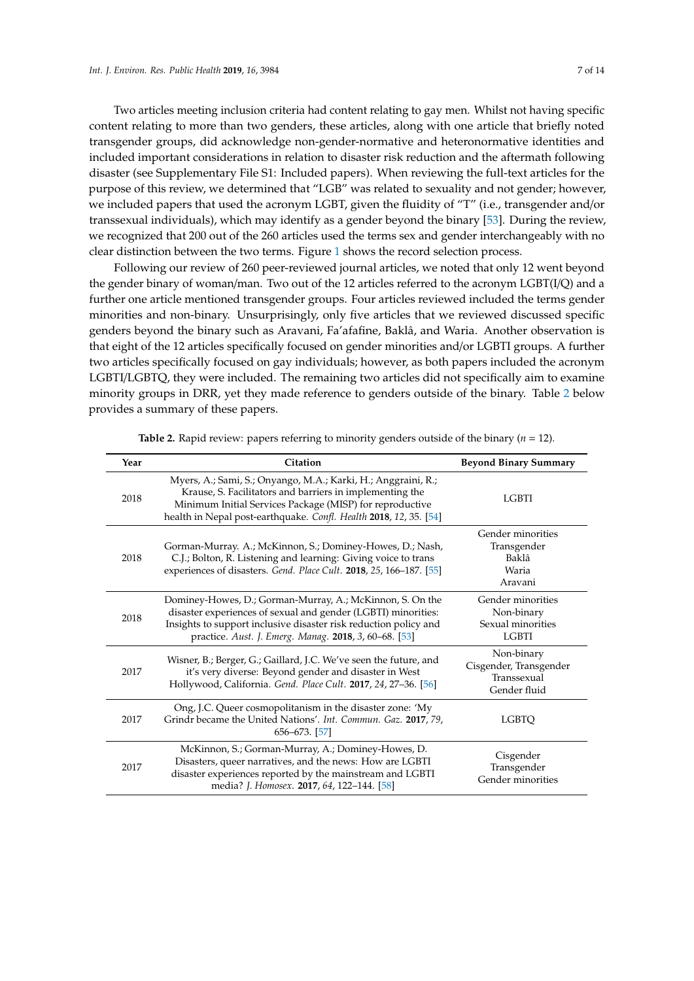Two articles meeting inclusion criteria had content relating to gay men. Whilst not having specific content relating to more than two genders, these articles, along with one article that briefly noted transgender groups, did acknowledge non-gender-normative and heteronormative identities and included important considerations in relation to disaster risk reduction and the aftermath following disaster (see Supplementary File S1: Included papers). When reviewing the full-text articles for the purpose of this review, we determined that "LGB" was related to sexuality and not gender; however, we included papers that used the acronym LGBT, given the fluidity of "T" (i.e., transgender and/or transsexual individuals), which may identify as a gender beyond the binary [\[53\]](#page-12-11). During the review, we recognized that 200 out of the 260 articles used the terms sex and gender interchangeably with no clear distinction between the two terms. Figure [1](#page-5-0) shows the record selection process.

Following our review of 260 peer-reviewed journal articles, we noted that only 12 went beyond the gender binary of woman/man. Two out of the 12 articles referred to the acronym LGBT(I/Q) and a further one article mentioned transgender groups. Four articles reviewed included the terms gender minorities and non-binary. Unsurprisingly, only five articles that we reviewed discussed specific genders beyond the binary such as Aravani, Fa'afafine, Baklâ, and Waria. Another observation is that eight of the 12 articles specifically focused on gender minorities and/or LGBTI groups. A further two articles specifically focused on gay individuals; however, as both papers included the acronym LGBTI/LGBTQ, they were included. The remaining two articles did not specifically aim to examine minority groups in DRR, yet they made reference to genders outside of the binary. Table [2](#page-7-0) below provides a summary of these papers.

| Year | Citation                                                                                                                                                                                                                                                   | <b>Beyond Binary Summary</b>                                         |
|------|------------------------------------------------------------------------------------------------------------------------------------------------------------------------------------------------------------------------------------------------------------|----------------------------------------------------------------------|
| 2018 | Myers, A.; Sami, S.; Onyango, M.A.; Karki, H.; Anggraini, R.;<br>Krause, S. Facilitators and barriers in implementing the<br>Minimum Initial Services Package (MISP) for reproductive<br>health in Nepal post-earthquake. Confl. Health 2018, 12, 35. [54] | <b>LGBTI</b>                                                         |
| 2018 | Gorman-Murray. A.; McKinnon, S.; Dominey-Howes, D.; Nash,<br>C.J.; Bolton, R. Listening and learning: Giving voice to trans<br>experiences of disasters. Gend. Place Cult. 2018, 25, 166-187. [55]                                                         | Gender minorities<br>Transgender<br>Baklâ<br>Waria<br>Aravani        |
| 2018 | Dominey-Howes, D.; Gorman-Murray, A.; McKinnon, S. On the<br>disaster experiences of sexual and gender (LGBTI) minorities:<br>Insights to support inclusive disaster risk reduction policy and<br>practice. Aust. J. Emerg. Manag. 2018, 3, 60-68. [53]    | Gender minorities<br>Non-binary<br>Sexual minorities<br><b>LGBTI</b> |
| 2017 | Wisner, B.; Berger, G.; Gaillard, J.C. We've seen the future, and<br>it's very diverse: Beyond gender and disaster in West<br>Hollywood, California. Gend. Place Cult. 2017, 24, 27-36. [56]                                                               | Non-binary<br>Cisgender, Transgender<br>Transsexual<br>Gender fluid  |
| 2017 | Ong, J.C. Queer cosmopolitanism in the disaster zone: 'My<br>Grindr became the United Nations'. Int. Commun. Gaz. 2017, 79,<br>656–673. [57]                                                                                                               | <b>LGBTO</b>                                                         |
| 2017 | McKinnon, S.; Gorman-Murray, A.; Dominey-Howes, D.<br>Disasters, queer narratives, and the news: How are LGBTI<br>disaster experiences reported by the mainstream and LGBTI<br>media? J. Homosex. 2017, 64, 122-144. [58]                                  | Cisgender<br>Transgender<br>Gender minorities                        |

**Table 2.** Rapid review: papers referring to minority genders outside of the binary ( $n = 12$ ).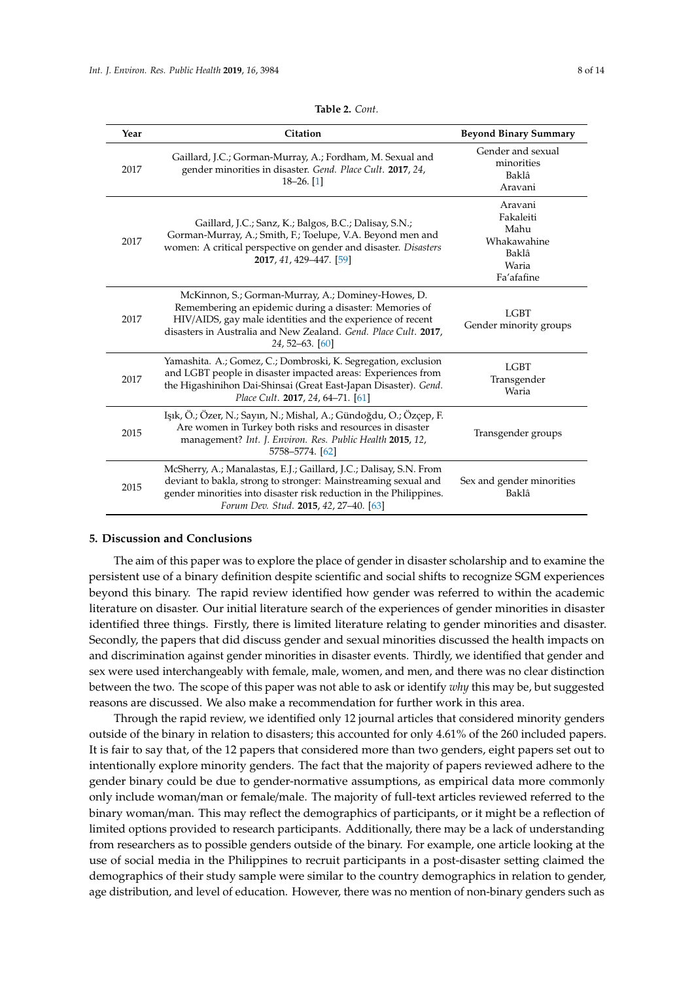<span id="page-7-0"></span>

| Year | Citation                                                                                                                                                                                                                                                         | <b>Beyond Binary Summary</b>                                                |
|------|------------------------------------------------------------------------------------------------------------------------------------------------------------------------------------------------------------------------------------------------------------------|-----------------------------------------------------------------------------|
| 2017 | Gaillard, J.C.; Gorman-Murray, A.; Fordham, M. Sexual and<br>gender minorities in disaster. Gend. Place Cult. 2017, 24,<br>$18 - 26$ . [1]                                                                                                                       | Gender and sexual<br>minorities<br>Baklâ<br>Aravani                         |
| 2017 | Gaillard, J.C.; Sanz, K.; Balgos, B.C.; Dalisay, S.N.;<br>Gorman-Murray, A.; Smith, F.; Toelupe, V.A. Beyond men and<br>women: A critical perspective on gender and disaster. Disasters<br>2017, 41, 429-447. [59]                                               | Aravani<br>Fakaleiti<br>Mahu<br>Whakawahine<br>Baklâ<br>Waria<br>Fa'afafine |
| 2017 | McKinnon, S.; Gorman-Murray, A.; Dominey-Howes, D.<br>Remembering an epidemic during a disaster: Memories of<br>HIV/AIDS, gay male identities and the experience of recent<br>disasters in Australia and New Zealand. Gend. Place Cult. 2017,<br>24, 52-63. [60] | <b>LGBT</b><br>Gender minority groups                                       |
| 2017 | Yamashita. A.; Gomez, C.; Dombroski, K. Segregation, exclusion<br>and LGBT people in disaster impacted areas: Experiences from<br>the Higashinihon Dai-Shinsai (Great East-Japan Disaster). Gend.<br>Place Cult. 2017, 24, 64-71. [61]                           | <b>LGBT</b><br>Transgender<br>Waria                                         |
| 2015 | Işık, Ö.; Özer, N.; Sayın, N.; Mishal, A.; Gündoğdu, O.; Özçep, F.<br>Are women in Turkey both risks and resources in disaster<br>management? Int. J. Environ. Res. Public Health 2015, 12,<br>5758-5774. [62]                                                   | Transgender groups                                                          |
| 2015 | McSherry, A.; Manalastas, E.J.; Gaillard, J.C.; Dalisay, S.N. From<br>deviant to bakla, strong to stronger: Mainstreaming sexual and<br>gender minorities into disaster risk reduction in the Philippines.<br>Forum Dev. Stud. 2015, 42, 27-40. [63]             | Sex and gender minorities<br>Baklâ                                          |

#### **5. Discussion and Conclusions**

The aim of this paper was to explore the place of gender in disaster scholarship and to examine the persistent use of a binary definition despite scientific and social shifts to recognize SGM experiences beyond this binary. The rapid review identified how gender was referred to within the academic literature on disaster. Our initial literature search of the experiences of gender minorities in disaster identified three things. Firstly, there is limited literature relating to gender minorities and disaster. Secondly, the papers that did discuss gender and sexual minorities discussed the health impacts on and discrimination against gender minorities in disaster events. Thirdly, we identified that gender and sex were used interchangeably with female, male, women, and men, and there was no clear distinction between the two. The scope of this paper was not able to ask or identify *why* this may be, but suggested reasons are discussed. We also make a recommendation for further work in this area.

Through the rapid review, we identified only 12 journal articles that considered minority genders outside of the binary in relation to disasters; this accounted for only 4.61% of the 260 included papers. It is fair to say that, of the 12 papers that considered more than two genders, eight papers set out to intentionally explore minority genders. The fact that the majority of papers reviewed adhere to the gender binary could be due to gender-normative assumptions, as empirical data more commonly only include woman/man or female/male. The majority of full-text articles reviewed referred to the binary woman/man. This may reflect the demographics of participants, or it might be a reflection of limited options provided to research participants. Additionally, there may be a lack of understanding from researchers as to possible genders outside of the binary. For example, one article looking at the use of social media in the Philippines to recruit participants in a post-disaster setting claimed the demographics of their study sample were similar to the country demographics in relation to gender, age distribution, and level of education. However, there was no mention of non-binary genders such as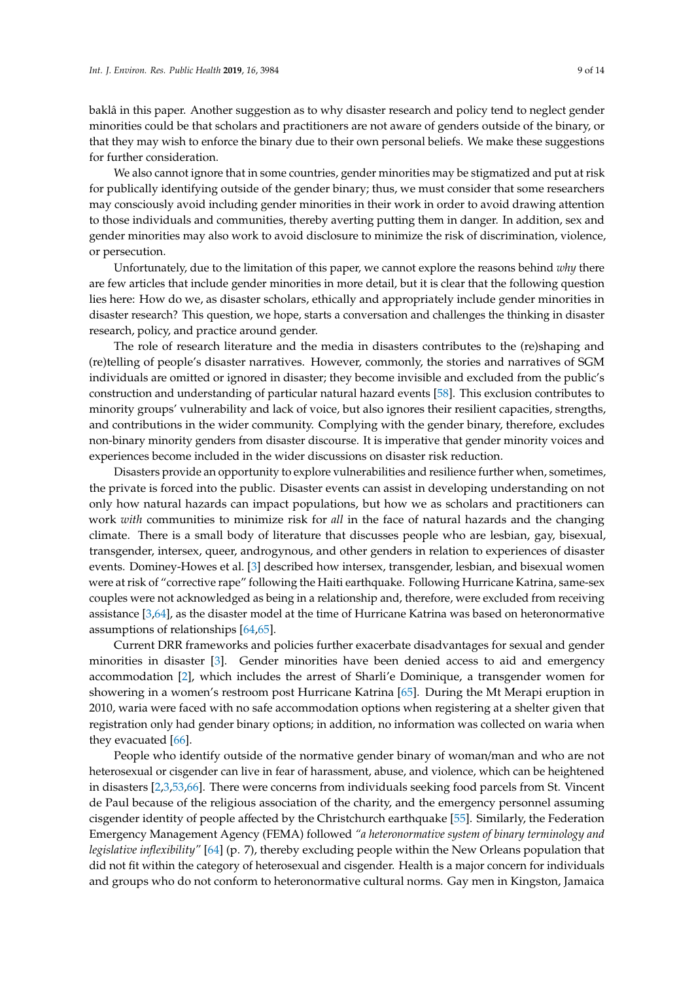baklâ in this paper. Another suggestion as to why disaster research and policy tend to neglect gender minorities could be that scholars and practitioners are not aware of genders outside of the binary, or that they may wish to enforce the binary due to their own personal beliefs. We make these suggestions for further consideration.

We also cannot ignore that in some countries, gender minorities may be stigmatized and put at risk for publically identifying outside of the gender binary; thus, we must consider that some researchers may consciously avoid including gender minorities in their work in order to avoid drawing attention to those individuals and communities, thereby averting putting them in danger. In addition, sex and gender minorities may also work to avoid disclosure to minimize the risk of discrimination, violence, or persecution.

Unfortunately, due to the limitation of this paper, we cannot explore the reasons behind *why* there are few articles that include gender minorities in more detail, but it is clear that the following question lies here: How do we, as disaster scholars, ethically and appropriately include gender minorities in disaster research? This question, we hope, starts a conversation and challenges the thinking in disaster research, policy, and practice around gender.

The role of research literature and the media in disasters contributes to the (re)shaping and (re)telling of people's disaster narratives. However, commonly, the stories and narratives of SGM individuals are omitted or ignored in disaster; they become invisible and excluded from the public's construction and understanding of particular natural hazard events [\[58\]](#page-12-16). This exclusion contributes to minority groups' vulnerability and lack of voice, but also ignores their resilient capacities, strengths, and contributions in the wider community. Complying with the gender binary, therefore, excludes non-binary minority genders from disaster discourse. It is imperative that gender minority voices and experiences become included in the wider discussions on disaster risk reduction.

Disasters provide an opportunity to explore vulnerabilities and resilience further when, sometimes, the private is forced into the public. Disaster events can assist in developing understanding on not only how natural hazards can impact populations, but how we as scholars and practitioners can work *with* communities to minimize risk for *all* in the face of natural hazards and the changing climate. There is a small body of literature that discusses people who are lesbian, gay, bisexual, transgender, intersex, queer, androgynous, and other genders in relation to experiences of disaster events. Dominey-Howes et al. [\[3\]](#page-10-1) described how intersex, transgender, lesbian, and bisexual women were at risk of "corrective rape" following the Haiti earthquake. Following Hurricane Katrina, same-sex couples were not acknowledged as being in a relationship and, therefore, were excluded from receiving assistance [\[3,](#page-10-1)[64\]](#page-13-1), as the disaster model at the time of Hurricane Katrina was based on heteronormative assumptions of relationships [\[64](#page-13-1)[,65\]](#page-13-2).

Current DRR frameworks and policies further exacerbate disadvantages for sexual and gender minorities in disaster [\[3\]](#page-10-1). Gender minorities have been denied access to aid and emergency accommodation [\[2\]](#page-10-4), which includes the arrest of Sharli'e Dominique, a transgender women for showering in a women's restroom post Hurricane Katrina [\[65\]](#page-13-2). During the Mt Merapi eruption in 2010, waria were faced with no safe accommodation options when registering at a shelter given that registration only had gender binary options; in addition, no information was collected on waria when they evacuated [\[66\]](#page-13-3).

People who identify outside of the normative gender binary of woman/man and who are not heterosexual or cisgender can live in fear of harassment, abuse, and violence, which can be heightened in disasters [\[2](#page-10-4)[,3](#page-10-1)[,53](#page-12-11)[,66\]](#page-13-3). There were concerns from individuals seeking food parcels from St. Vincent de Paul because of the religious association of the charity, and the emergency personnel assuming cisgender identity of people affected by the Christchurch earthquake [\[55\]](#page-12-13). Similarly, the Federation Emergency Management Agency (FEMA) followed *"a heteronormative system of binary terminology and legislative inflexibility"* [\[64\]](#page-13-1) (p. 7), thereby excluding people within the New Orleans population that did not fit within the category of heterosexual and cisgender. Health is a major concern for individuals and groups who do not conform to heteronormative cultural norms. Gay men in Kingston, Jamaica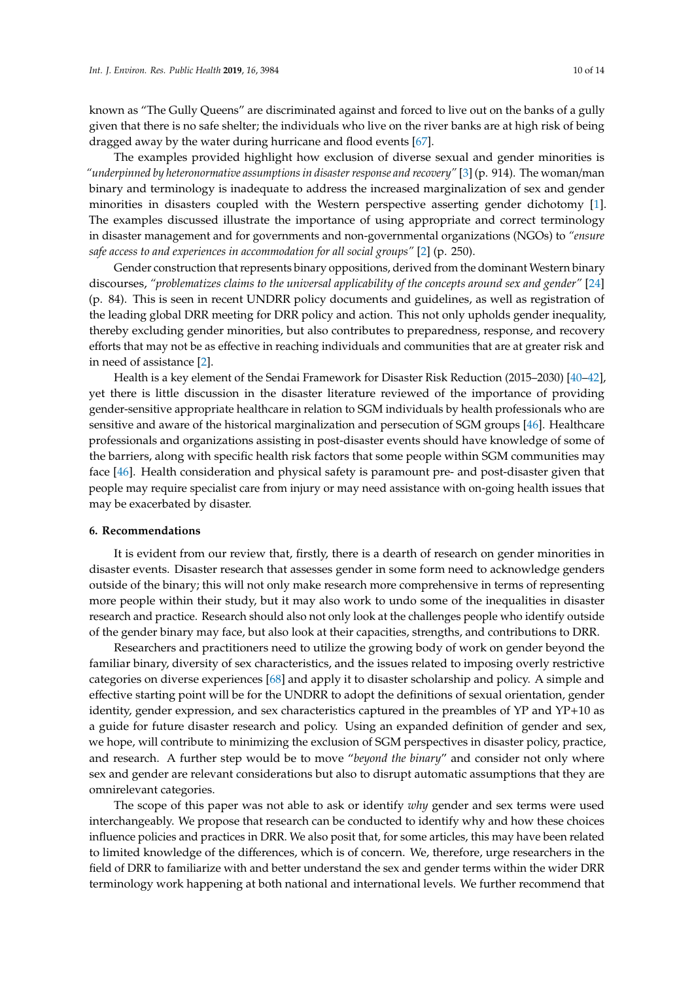known as "The Gully Queens" are discriminated against and forced to live out on the banks of a gully given that there is no safe shelter; the individuals who live on the river banks are at high risk of being dragged away by the water during hurricane and flood events [\[67\]](#page-13-4).

The examples provided highlight how exclusion of diverse sexual and gender minorities is *"underpinned by heteronormative assumptions in disaster response and recovery"* [\[3\]](#page-10-1) (p. 914). The woman/man binary and terminology is inadequate to address the increased marginalization of sex and gender minorities in disasters coupled with the Western perspective asserting gender dichotomy [\[1\]](#page-10-0). The examples discussed illustrate the importance of using appropriate and correct terminology in disaster management and for governments and non-governmental organizations (NGOs) to *"ensure safe access to and experiences in accommodation for all social groups"* [\[2\]](#page-10-4) (p. 250).

Gender construction that represents binary oppositions, derived from the dominant Western binary discourses, *"problematizes claims to the universal applicability of the concepts around sex and gender"* [\[24\]](#page-11-10) (p. 84). This is seen in recent UNDRR policy documents and guidelines, as well as registration of the leading global DRR meeting for DRR policy and action. This not only upholds gender inequality, thereby excluding gender minorities, but also contributes to preparedness, response, and recovery efforts that may not be as effective in reaching individuals and communities that are at greater risk and in need of assistance [\[2\]](#page-10-4).

Health is a key element of the Sendai Framework for Disaster Risk Reduction (2015–2030) [\[40](#page-11-24)[–42\]](#page-12-0), yet there is little discussion in the disaster literature reviewed of the importance of providing gender-sensitive appropriate healthcare in relation to SGM individuals by health professionals who are sensitive and aware of the historical marginalization and persecution of SGM groups [\[46\]](#page-12-4). Healthcare professionals and organizations assisting in post-disaster events should have knowledge of some of the barriers, along with specific health risk factors that some people within SGM communities may face [\[46\]](#page-12-4). Health consideration and physical safety is paramount pre- and post-disaster given that people may require specialist care from injury or may need assistance with on-going health issues that may be exacerbated by disaster.

## **6. Recommendations**

It is evident from our review that, firstly, there is a dearth of research on gender minorities in disaster events. Disaster research that assesses gender in some form need to acknowledge genders outside of the binary; this will not only make research more comprehensive in terms of representing more people within their study, but it may also work to undo some of the inequalities in disaster research and practice. Research should also not only look at the challenges people who identify outside of the gender binary may face, but also look at their capacities, strengths, and contributions to DRR.

Researchers and practitioners need to utilize the growing body of work on gender beyond the familiar binary, diversity of sex characteristics, and the issues related to imposing overly restrictive categories on diverse experiences [\[68\]](#page-13-5) and apply it to disaster scholarship and policy. A simple and effective starting point will be for the UNDRR to adopt the definitions of sexual orientation, gender identity, gender expression, and sex characteristics captured in the preambles of YP and YP+10 as a guide for future disaster research and policy. Using an expanded definition of gender and sex, we hope, will contribute to minimizing the exclusion of SGM perspectives in disaster policy, practice, and research. A further step would be to move "*beyond the binary*" and consider not only where sex and gender are relevant considerations but also to disrupt automatic assumptions that they are omnirelevant categories.

The scope of this paper was not able to ask or identify *why* gender and sex terms were used interchangeably. We propose that research can be conducted to identify why and how these choices influence policies and practices in DRR. We also posit that, for some articles, this may have been related to limited knowledge of the differences, which is of concern. We, therefore, urge researchers in the field of DRR to familiarize with and better understand the sex and gender terms within the wider DRR terminology work happening at both national and international levels. We further recommend that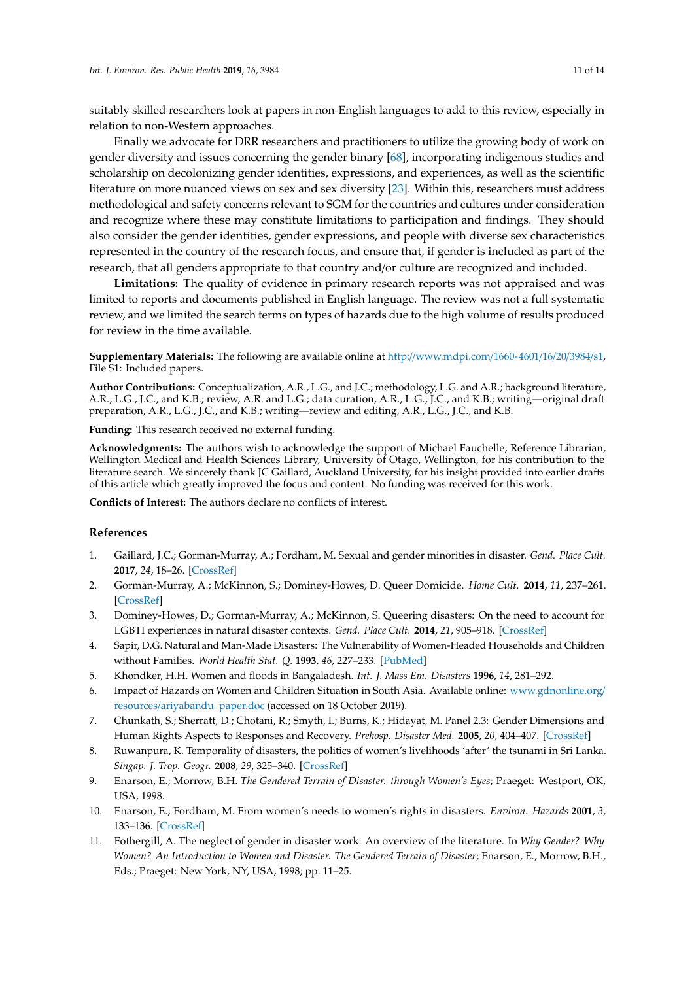suitably skilled researchers look at papers in non-English languages to add to this review, especially in relation to non-Western approaches.

Finally we advocate for DRR researchers and practitioners to utilize the growing body of work on gender diversity and issues concerning the gender binary [\[68\]](#page-13-5), incorporating indigenous studies and scholarship on decolonizing gender identities, expressions, and experiences, as well as the scientific literature on more nuanced views on sex and sex diversity [\[23\]](#page-11-9). Within this, researchers must address methodological and safety concerns relevant to SGM for the countries and cultures under consideration and recognize where these may constitute limitations to participation and findings. They should also consider the gender identities, gender expressions, and people with diverse sex characteristics represented in the country of the research focus, and ensure that, if gender is included as part of the research, that all genders appropriate to that country and/or culture are recognized and included.

**Limitations:** The quality of evidence in primary research reports was not appraised and was limited to reports and documents published in English language. The review was not a full systematic review, and we limited the search terms on types of hazards due to the high volume of results produced for review in the time available.

**Supplementary Materials:** The following are available online at http://[www.mdpi.com](http://www.mdpi.com/1660-4601/16/20/3984/s1)/1660-4601/16/20/3984/s1, File S1: Included papers.

**Author Contributions:** Conceptualization, A.R., L.G., and J.C.; methodology, L.G. and A.R.; background literature, A.R., L.G., J.C., and K.B.; review, A.R. and L.G.; data curation, A.R., L.G., J.C., and K.B.; writing—original draft preparation, A.R., L.G., J.C., and K.B.; writing—review and editing, A.R., L.G., J.C., and K.B.

**Funding:** This research received no external funding.

**Acknowledgments:** The authors wish to acknowledge the support of Michael Fauchelle, Reference Librarian, Wellington Medical and Health Sciences Library, University of Otago, Wellington, for his contribution to the literature search. We sincerely thank JC Gaillard, Auckland University, for his insight provided into earlier drafts of this article which greatly improved the focus and content. No funding was received for this work.

**Conflicts of Interest:** The authors declare no conflicts of interest.

#### **References**

- <span id="page-10-0"></span>1. Gaillard, J.C.; Gorman-Murray, A.; Fordham, M. Sexual and gender minorities in disaster. *Gend. Place Cult.* **2017**, *24*, 18–26. [\[CrossRef\]](http://dx.doi.org/10.1080/0966369X.2016.1263438)
- <span id="page-10-4"></span>2. Gorman-Murray, A.; McKinnon, S.; Dominey-Howes, D. Queer Domicide. *Home Cult.* **2014**, *11*, 237–261. [\[CrossRef\]](http://dx.doi.org/10.2752/175174214X13891916944751)
- <span id="page-10-1"></span>3. Dominey-Howes, D.; Gorman-Murray, A.; McKinnon, S. Queering disasters: On the need to account for LGBTI experiences in natural disaster contexts. *Gend. Place Cult.* **2014**, *21*, 905–918. [\[CrossRef\]](http://dx.doi.org/10.1080/0966369X.2013.802673)
- <span id="page-10-2"></span>4. Sapir, D.G. Natural and Man-Made Disasters: The Vulnerability of Women-Headed Households and Children without Families. *World Health Stat. Q.* **1993**, *46*, 227–233. [\[PubMed\]](http://www.ncbi.nlm.nih.gov/pubmed/8017082)
- 5. Khondker, H.H. Women and floods in Bangaladesh. *Int. J. Mass Em. Disasters* **1996**, *14*, 281–292.
- 6. Impact of Hazards on Women and Children Situation in South Asia. Available online: [www.gdnonline.org](www.gdnonline.org/resources/ariyabandu_paper.doc)/ resources/[ariyabandu\\_paper.doc](www.gdnonline.org/resources/ariyabandu_paper.doc) (accessed on 18 October 2019).
- <span id="page-10-3"></span>7. Chunkath, S.; Sherratt, D.; Chotani, R.; Smyth, I.; Burns, K.; Hidayat, M. Panel 2.3: Gender Dimensions and Human Rights Aspects to Responses and Recovery. *Prehosp. Disaster Med.* **2005**, *20*, 404–407. [\[CrossRef\]](http://dx.doi.org/10.1017/S1049023X00002983)
- 8. Ruwanpura, K. Temporality of disasters, the politics of women's livelihoods 'after' the tsunami in Sri Lanka. *Singap. J. Trop. Geogr.* **2008**, *29*, 325–340. [\[CrossRef\]](http://dx.doi.org/10.1111/j.1467-9493.2008.00327.x)
- 9. Enarson, E.; Morrow, B.H. *The Gendered Terrain of Disaster. through Women's Eyes*; Praeget: Westport, OK, USA, 1998.
- 10. Enarson, E.; Fordham, M. From women's needs to women's rights in disasters. *Environ. Hazards* **2001**, *3*, 133–136. [\[CrossRef\]](http://dx.doi.org/10.1016/S1464-2867(02)00006-2)
- 11. Fothergill, A. The neglect of gender in disaster work: An overview of the literature. In *Why Gender? Why Women? An Introduction to Women and Disaster. The Gendered Terrain of Disaster*; Enarson, E., Morrow, B.H., Eds.; Praeget: New York, NY, USA, 1998; pp. 11–25.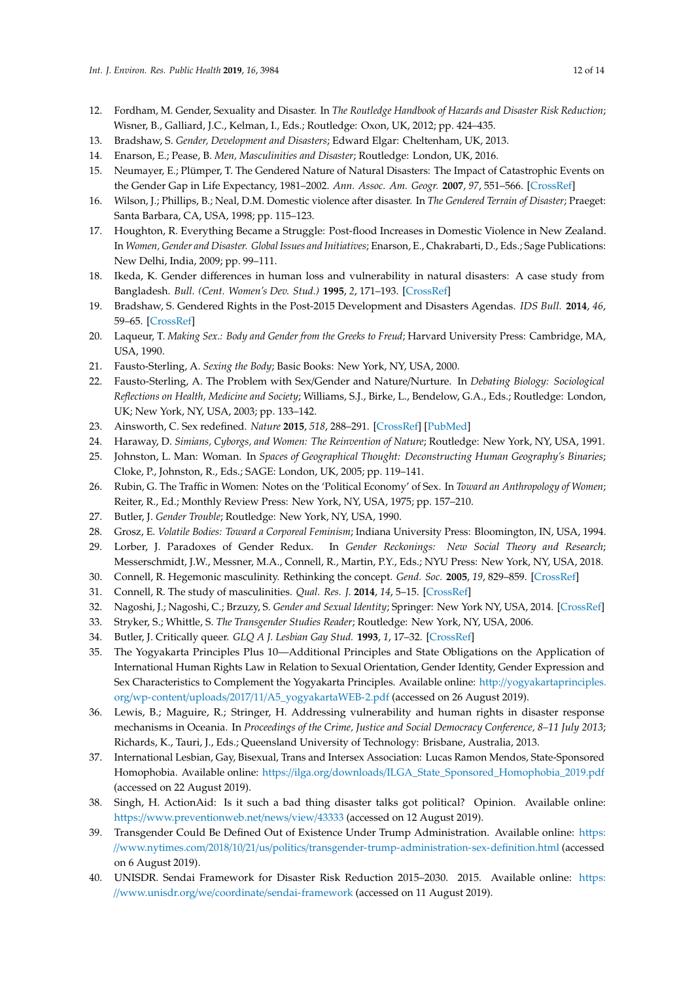- 12. Fordham, M. Gender, Sexuality and Disaster. In *The Routledge Handbook of Hazards and Disaster Risk Reduction*; Wisner, B., Galliard, J.C., Kelman, I., Eds.; Routledge: Oxon, UK, 2012; pp. 424–435.
- 13. Bradshaw, S. *Gender, Development and Disasters*; Edward Elgar: Cheltenham, UK, 2013.
- <span id="page-11-0"></span>14. Enarson, E.; Pease, B. *Men, Masculinities and Disaster*; Routledge: London, UK, 2016.
- <span id="page-11-1"></span>15. Neumayer, E.; Plümper, T. The Gendered Nature of Natural Disasters: The Impact of Catastrophic Events on the Gender Gap in Life Expectancy, 1981–2002. *Ann. Assoc. Am. Geogr.* **2007**, *97*, 551–566. [\[CrossRef\]](http://dx.doi.org/10.1111/j.1467-8306.2007.00563.x)
- <span id="page-11-2"></span>16. Wilson, J.; Phillips, B.; Neal, D.M. Domestic violence after disaster. In *The Gendered Terrain of Disaster*; Praeget: Santa Barbara, CA, USA, 1998; pp. 115–123.
- <span id="page-11-3"></span>17. Houghton, R. Everything Became a Struggle: Post-flood Increases in Domestic Violence in New Zealand. In *Women, Gender and Disaster. Global Issues and Initiatives*; Enarson, E., Chakrabarti, D., Eds.; Sage Publications: New Delhi, India, 2009; pp. 99–111.
- <span id="page-11-4"></span>18. Ikeda, K. Gender differences in human loss and vulnerability in natural disasters: A case study from Bangladesh. *Bull. (Cent. Women's Dev. Stud.)* **1995**, *2*, 171–193. [\[CrossRef\]](http://dx.doi.org/10.1177/097152159500200202)
- <span id="page-11-5"></span>19. Bradshaw, S. Gendered Rights in the Post-2015 Development and Disasters Agendas. *IDS Bull.* **2014**, *46*, 59–65. [\[CrossRef\]](http://dx.doi.org/10.1111/1759-5436.12158)
- <span id="page-11-6"></span>20. Laqueur, T. *Making Sex.: Body and Gender from the Greeks to Freud*; Harvard University Press: Cambridge, MA, USA, 1990.
- <span id="page-11-7"></span>21. Fausto-Sterling, A. *Sexing the Body*; Basic Books: New York, NY, USA, 2000.
- <span id="page-11-8"></span>22. Fausto-Sterling, A. The Problem with Sex/Gender and Nature/Nurture. In *Debating Biology: Sociological Reflections on Health, Medicine and Society*; Williams, S.J., Birke, L., Bendelow, G.A., Eds.; Routledge: London, UK; New York, NY, USA, 2003; pp. 133–142.
- <span id="page-11-9"></span>23. Ainsworth, C. Sex redefined. *Nature* **2015**, *518*, 288–291. [\[CrossRef\]](http://dx.doi.org/10.1038/518288a) [\[PubMed\]](http://www.ncbi.nlm.nih.gov/pubmed/25693544)
- <span id="page-11-10"></span>24. Haraway, D. *Simians, Cyborgs, and Women: The Reinvention of Nature*; Routledge: New York, NY, USA, 1991.
- <span id="page-11-11"></span>25. Johnston, L. Man: Woman. In *Spaces of Geographical Thought: Deconstructing Human Geography's Binaries*; Cloke, P., Johnston, R., Eds.; SAGE: London, UK, 2005; pp. 119–141.
- <span id="page-11-12"></span>26. Rubin, G. The Traffic in Women: Notes on the 'Political Economy' of Sex. In *Toward an Anthropology of Women*; Reiter, R., Ed.; Monthly Review Press: New York, NY, USA, 1975; pp. 157–210.
- <span id="page-11-13"></span>27. Butler, J. *Gender Trouble*; Routledge: New York, NY, USA, 1990.
- <span id="page-11-14"></span>28. Grosz, E. *Volatile Bodies: Toward a Corporeal Feminism*; Indiana University Press: Bloomington, IN, USA, 1994.
- <span id="page-11-15"></span>29. Lorber, J. Paradoxes of Gender Redux. In *Gender Reckonings: New Social Theory and Research*; Messerschmidt, J.W., Messner, M.A., Connell, R., Martin, P.Y., Eds.; NYU Press: New York, NY, USA, 2018.
- 30. Connell, R. Hegemonic masculinity. Rethinking the concept. *Gend. Soc.* **2005**, *19*, 829–859. [\[CrossRef\]](http://dx.doi.org/10.1177/0891243205278639)
- <span id="page-11-16"></span>31. Connell, R. The study of masculinities. *Qual. Res. J.* **2014**, *14*, 5–15. [\[CrossRef\]](http://dx.doi.org/10.1108/QRJ-03-2014-0006)
- <span id="page-11-17"></span>32. Nagoshi, J.; Nagoshi, C.; Brzuzy, S. *Gender and Sexual Identity*; Springer: New York NY, USA, 2014. [\[CrossRef\]](http://dx.doi.org/10.1007/978-1-4614-8966-5)
- 33. Stryker, S.; Whittle, S. *The Transgender Studies Reader*; Routledge: New York, NY, USA, 2006.
- <span id="page-11-18"></span>34. Butler, J. Critically queer. *GLQ A J. Lesbian Gay Stud.* **1993**, *1*, 17–32. [\[CrossRef\]](http://dx.doi.org/10.1215/10642684-1-1-17)
- <span id="page-11-19"></span>35. The Yogyakarta Principles Plus 10—Additional Principles and State Obligations on the Application of International Human Rights Law in Relation to Sexual Orientation, Gender Identity, Gender Expression and Sex Characteristics to Complement the Yogyakarta Principles. Available online: http://[yogyakartaprinciples.](http://yogyakartaprinciples.org/wp-content/uploads/2017/11/A5_yogyakartaWEB-2.pdf) org/wp-content/uploads/2017/11/[A5\\_yogyakartaWEB-2.pdf](http://yogyakartaprinciples.org/wp-content/uploads/2017/11/A5_yogyakartaWEB-2.pdf) (accessed on 26 August 2019).
- <span id="page-11-20"></span>36. Lewis, B.; Maguire, R.; Stringer, H. Addressing vulnerability and human rights in disaster response mechanisms in Oceania. In *Proceedings of the Crime, Justice and Social Democracy Conference, 8–11 July 2013*; Richards, K., Tauri, J., Eds.; Queensland University of Technology: Brisbane, Australia, 2013.
- <span id="page-11-21"></span>37. International Lesbian, Gay, Bisexual, Trans and Intersex Association: Lucas Ramon Mendos, State-Sponsored Homophobia. Available online: https://ilga.org/downloads/[ILGA\\_State\\_Sponsored\\_Homophobia\\_2019.pdf](https://ilga.org/downloads/ILGA_State_Sponsored_Homophobia_2019.pdf) (accessed on 22 August 2019).
- <span id="page-11-22"></span>38. Singh, H. ActionAid: Is it such a bad thing disaster talks got political? Opinion. Available online: https://[www.preventionweb.net](https://www.preventionweb.net/news/view/43333)/news/view/43333 (accessed on 12 August 2019).
- <span id="page-11-23"></span>39. Transgender Could Be Defined Out of Existence Under Trump Administration. Available online: [https:](https://www.nytimes.com/2018/10/21/us/politics/transgender-trump-administration-sex-definition.html) //www.nytimes.com/2018/10/21/us/politics/[transgender-trump-administration-sex-definition.html](https://www.nytimes.com/2018/10/21/us/politics/transgender-trump-administration-sex-definition.html) (accessed on 6 August 2019).
- <span id="page-11-24"></span>40. UNISDR. Sendai Framework for Disaster Risk Reduction 2015–2030. 2015. Available online: [https:](https://www.unisdr.org/we/coordinate/sendai-framework) //www.unisdr.org/we/coordinate/[sendai-framework](https://www.unisdr.org/we/coordinate/sendai-framework) (accessed on 11 August 2019).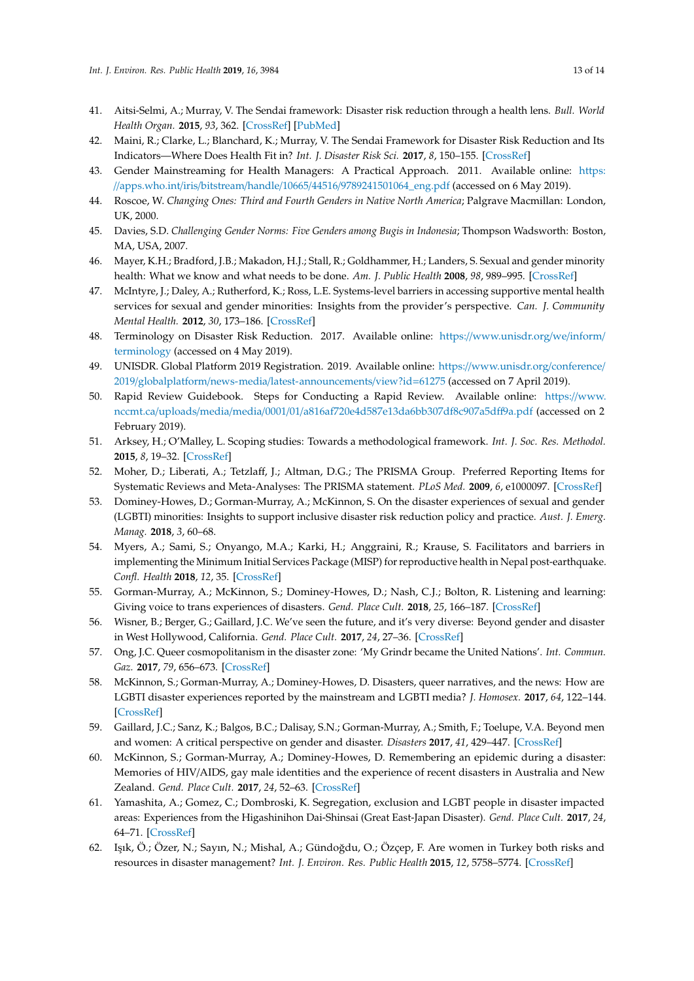- 41. Aitsi-Selmi, A.; Murray, V. The Sendai framework: Disaster risk reduction through a health lens. *Bull. World Health Organ.* **2015**, *93*, 362. [\[CrossRef\]](http://dx.doi.org/10.2471/BLT.15.157362) [\[PubMed\]](http://www.ncbi.nlm.nih.gov/pubmed/26240454)
- <span id="page-12-0"></span>42. Maini, R.; Clarke, L.; Blanchard, K.; Murray, V. The Sendai Framework for Disaster Risk Reduction and Its Indicators—Where Does Health Fit in? *Int. J. Disaster Risk Sci.* **2017**, *8*, 150–155. [\[CrossRef\]](http://dx.doi.org/10.1007/s13753-017-0120-2)
- <span id="page-12-1"></span>43. Gender Mainstreaming for Health Managers: A Practical Approach. 2011. Available online: [https:](https://apps.who.int/iris/bitstream/handle/10665/44516/9789241501064_eng.pdf) //apps.who.int/iris/bitstream/handle/10665/44516/[9789241501064\\_eng.pdf](https://apps.who.int/iris/bitstream/handle/10665/44516/9789241501064_eng.pdf) (accessed on 6 May 2019).
- <span id="page-12-2"></span>44. Roscoe, W. *Changing Ones: Third and Fourth Genders in Native North America*; Palgrave Macmillan: London, UK, 2000.
- <span id="page-12-3"></span>45. Davies, S.D. *Challenging Gender Norms: Five Genders among Bugis in Indonesia*; Thompson Wadsworth: Boston, MA, USA, 2007.
- <span id="page-12-4"></span>46. Mayer, K.H.; Bradford, J.B.; Makadon, H.J.; Stall, R.; Goldhammer, H.; Landers, S. Sexual and gender minority health: What we know and what needs to be done. *Am. J. Public Health* **2008**, *98*, 989–995. [\[CrossRef\]](http://dx.doi.org/10.2105/AJPH.2007.127811)
- <span id="page-12-5"></span>47. McIntyre, J.; Daley, A.; Rutherford, K.; Ross, L.E. Systems-level barriers in accessing supportive mental health services for sexual and gender minorities: Insights from the provider's perspective. *Can. J. Community Mental Health.* **2012**, *30*, 173–186. [\[CrossRef\]](http://dx.doi.org/10.7870/cjcmh-2011-0023)
- <span id="page-12-6"></span>48. Terminology on Disaster Risk Reduction. 2017. Available online: https://[www.unisdr.org](https://www.unisdr.org/we/inform/terminology)/we/inform/ [terminology](https://www.unisdr.org/we/inform/terminology) (accessed on 4 May 2019).
- <span id="page-12-7"></span>49. UNISDR. Global Platform 2019 Registration. 2019. Available online: https://[www.unisdr.org](https://www.unisdr.org/conference/2019/globalplatform/news-media/latest-announcements/view?id=61275)/conference/ 2019/globalplatform/news-media/[latest-announcements](https://www.unisdr.org/conference/2019/globalplatform/news-media/latest-announcements/view?id=61275)/view?id=61275 (accessed on 7 April 2019).
- <span id="page-12-8"></span>50. Rapid Review Guidebook. Steps for Conducting a Rapid Review. Available online: https://[www.](https://www.nccmt.ca/uploads/media/media/0001/01/a816af720e4d587e13da6bb307df8c907a5dff9a.pdf) nccmt.ca/uploads/media/media/0001/01/[a816af720e4d587e13da6bb307df8c907a5d](https://www.nccmt.ca/uploads/media/media/0001/01/a816af720e4d587e13da6bb307df8c907a5dff9a.pdf)ff9a.pdf (accessed on 2 February 2019).
- <span id="page-12-9"></span>51. Arksey, H.; O'Malley, L. Scoping studies: Towards a methodological framework. *Int. J. Soc. Res. Methodol.* **2015**, *8*, 19–32. [\[CrossRef\]](http://dx.doi.org/10.1080/1364557032000119616)
- <span id="page-12-10"></span>52. Moher, D.; Liberati, A.; Tetzlaff, J.; Altman, D.G.; The PRISMA Group. Preferred Reporting Items for Systematic Reviews and Meta-Analyses: The PRISMA statement. *PLoS Med.* **2009**, *6*, e1000097. [\[CrossRef\]](http://dx.doi.org/10.1371/journal.pmed1000097)
- <span id="page-12-11"></span>53. Dominey-Howes, D.; Gorman-Murray, A.; McKinnon, S. On the disaster experiences of sexual and gender (LGBTI) minorities: Insights to support inclusive disaster risk reduction policy and practice. *Aust. J. Emerg. Manag.* **2018**, *3*, 60–68.
- <span id="page-12-12"></span>54. Myers, A.; Sami, S.; Onyango, M.A.; Karki, H.; Anggraini, R.; Krause, S. Facilitators and barriers in implementing the Minimum Initial Services Package (MISP) for reproductive health in Nepal post-earthquake. *Confl. Health* **2018**, *12*, 35. [\[CrossRef\]](http://dx.doi.org/10.1186/s13031-018-0170-0)
- <span id="page-12-13"></span>55. Gorman-Murray, A.; McKinnon, S.; Dominey-Howes, D.; Nash, C.J.; Bolton, R. Listening and learning: Giving voice to trans experiences of disasters. *Gend. Place Cult.* **2018**, *25*, 166–187. [\[CrossRef\]](http://dx.doi.org/10.1080/0966369X.2017.1334632)
- <span id="page-12-14"></span>56. Wisner, B.; Berger, G.; Gaillard, J.C. We've seen the future, and it's very diverse: Beyond gender and disaster in West Hollywood, California. *Gend. Place Cult.* **2017**, *24*, 27–36. [\[CrossRef\]](http://dx.doi.org/10.1080/0966369X.2016.1204995)
- <span id="page-12-15"></span>57. Ong, J.C. Queer cosmopolitanism in the disaster zone: 'My Grindr became the United Nations'. *Int. Commun. Gaz.* **2017**, *79*, 656–673. [\[CrossRef\]](http://dx.doi.org/10.1177/1748048517727177)
- <span id="page-12-16"></span>58. McKinnon, S.; Gorman-Murray, A.; Dominey-Howes, D. Disasters, queer narratives, and the news: How are LGBTI disaster experiences reported by the mainstream and LGBTI media? *J. Homosex.* **2017**, *64*, 122–144. [\[CrossRef\]](http://dx.doi.org/10.1080/00918369.2016.1172901)
- <span id="page-12-17"></span>59. Gaillard, J.C.; Sanz, K.; Balgos, B.C.; Dalisay, S.N.; Gorman-Murray, A.; Smith, F.; Toelupe, V.A. Beyond men and women: A critical perspective on gender and disaster. *Disasters* **2017**, *41*, 429–447. [\[CrossRef\]](http://dx.doi.org/10.1111/disa.12209)
- <span id="page-12-18"></span>60. McKinnon, S.; Gorman-Murray, A.; Dominey-Howes, D. Remembering an epidemic during a disaster: Memories of HIV/AIDS, gay male identities and the experience of recent disasters in Australia and New Zealand. *Gend. Place Cult.* **2017**, *24*, 52–63. [\[CrossRef\]](http://dx.doi.org/10.1080/0966369X.2016.1249352)
- <span id="page-12-19"></span>61. Yamashita, A.; Gomez, C.; Dombroski, K. Segregation, exclusion and LGBT people in disaster impacted areas: Experiences from the Higashinihon Dai-Shinsai (Great East-Japan Disaster). *Gend. Place Cult.* **2017**, *24*, 64–71. [\[CrossRef\]](http://dx.doi.org/10.1080/0966369X.2016.1276887)
- <span id="page-12-20"></span>62. Işık, Ö.; Özer, N.; Sayın, N.; Mishal, A.; Gündoğdu, O.; Özçep, F. Are women in Turkey both risks and resources in disaster management? *Int. J. Environ. Res. Public Health* **2015**, *12*, 5758–5774. [\[CrossRef\]](http://dx.doi.org/10.3390/ijerph120605758)